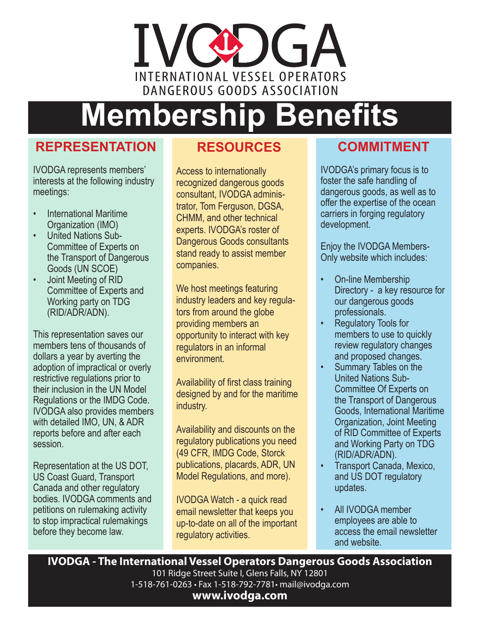# IVCO G INTERNATIONAL VESSEL OPERATORS DANGEROUS GOODS ASSOCIATION

# **Membership Benefits**

#### **REPRESENTATION**

IVODGA represents members' interests at the following industry meetings:

- International Maritime Organization (IMO)
- United Nations Sub-Committee of Experts on the Transport of Dangerous Goods (UN SCOE)
- Joint Meeting of RID Committee of Experts and Working party on TDG (RID/ADR/ADN).

This representation saves our members tens of thousands of dollars a year by averting the adoption of impractical or overly restrictive regulations prior to their inclusion in the UN Model Regulations or the IMDG Code. IVODGA also provides members with detailed IMO, UN, & ADR reports before and after each session.

Representation at the US DOT, US Coast Guard, Transport Canada and other regulatory bodies. IVODGA comments and petitions on rulemaking activity to stop impractical rulemakings before they become law.

#### **RESOURCES**

Access to internationally recognized dangerous goods consultant, IVODGA administrator, Tom Ferguson, DGSA, CHMM, and other technical experts. IVODGA's roster of Dangerous Goods consultants stand ready to assist member companies.

We host meetings featuring industry leaders and key regulators from around the globe providing members an opportunity to interact with key regulators in an informal environment.

Availability of first class training designed by and for the maritime industry.

Availability and discounts on the regulatory publications you need (49 CFR, IMDG Code, Storck publications, placards, ADR, UN Model Regulations, and more).

IVODGA Watch - a quick read email newsletter that keeps you up-to-date on all of the important regulatory activities.

## **COMMITMENT**

IVODGA's primary focus is to foster the safe handling of dangerous goods, as well as to offer the expertise of the ocean carriers in forging regulatory development.

Enjoy the IVODGA Members-Only website which includes:

- On-line Membership Directory - a key resource for our dangerous goods professionals.
- Regulatory Tools for members to use to quickly review regulatory changes and proposed changes.
- Summary Tables on the United Nations Sub-Committee Of Experts on the Transport of Dangerous Goods, International Maritime Organization, Joint Meeting of RID Committee of Experts and Working Party on TDG (RID/ADR/ADN).
- Transport Canada, Mexico, and US DOT regulatory updates.
- All IVODGA member employees are able to access the email newsletter and website.

**IVODGA - The International Vessel Operators Dangerous Goods Association**

101 Ridge Street Suite I, Glens Falls, NY 12801 1-518-761-0263 • Fax 1-518-792-7781• mail@ivodga.com **www.ivodga.com**